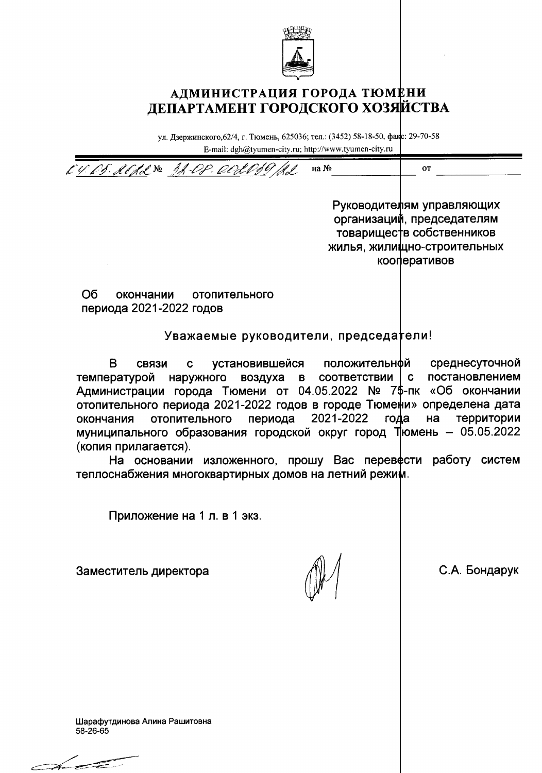

## АДМИНИСТРАЦИЯ ГОРОДА ТЮМЕНИ ДЕПАРТАМЕНТ ГОРОДСКОГО ХОЗЯЙСТВА

ул. Дзержинского, 62/4, г. Тюмень, 625036; тел.: (3452) 58-18-50, факс: 29-70-58 E-mail: dgh@tyumen-city.ru; http://www.tyumen-city.ru

CU. CS. RESS Nº 38-08 OCLO. на № **OT** 

Руководителям управляющих организаций, председателям товариществ собственников жилья, жилищно-строительных кооперативов

O<sub>6</sub> окончании отопительного периода 2021-2022 годов

Уважаемые руководители, председатели!

B. установившейся положительнфй среднесуточной СВЯЗИ  $\mathbf c$ температурой наружного воздуха **B** СООТВЕТСТВИИ  $\mathbf{C}$ постановлением Администрации города Тюмени от 04.05.2022 № 7\$-пк «Об окончании отопительного периода 2021-2022 годов в городе Тюме\и» определена дата 2021-2022 окончания отопительного периода года на территории муниципального образования городской округ город Пюмень - 05.05.2022 (копия прилагается).

На основании изложенного, прошу Вас перевести работу систем теплоснабжения многоквартирных домов на летний режим.

Приложение на 1 л. в 1 экз.

Заместитель директора

С.А. Бондарук

Шарафутдинова Алина Рашитовна 58-26-65